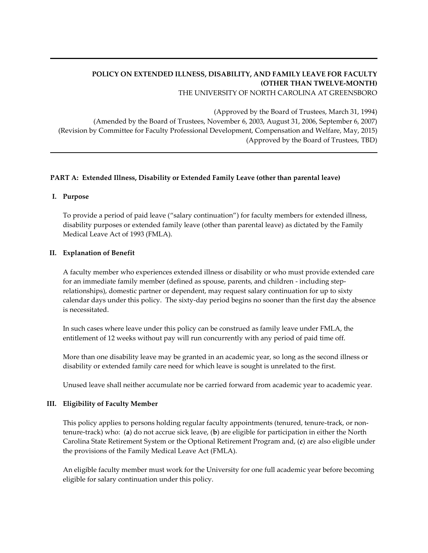# **POLICY ON EXTENDED ILLNESS, DISABILITY, AND FAMILY LEAVE FOR FACULTY (OTHER THAN TWELVE-MONTH)**

THE UNIVERSITY OF NORTH CAROLINA AT GREENSBORO

(Approved by the Board of Trustees, March 31, 1994) (Amended by the Board of Trustees, November 6, 2003, August 31, 2006, September 6, 2007) (Revision by Committee for Faculty Professional Development, Compensation and Welfare, May, 2015) (Approved by the Board of Trustees, TBD)

### **PART A: Extended Illness, Disability or Extended Family Leave (other than parental leave)**

#### **I. Purpose**

To provide a period of paid leave ("salary continuation") for faculty members for extended illness, disability purposes or extended family leave (other than parental leave) as dictated by the Family Medical Leave Act of 1993 (FMLA).

### **II. Explanation of Benefit**

A faculty member who experiences extended illness or disability or who must provide extended care for an immediate family member (defined as spouse, parents, and children - including steprelationships), domestic partner or dependent, may request salary continuation for up to sixty calendar days under this policy. The sixty-day period begins no sooner than the first day the absence is necessitated.

In such cases where leave under this policy can be construed as family leave under FMLA, the entitlement of 12 weeks without pay will run concurrently with any period of paid time off.

More than one disability leave may be granted in an academic year, so long as the second illness or disability or extended family care need for which leave is sought is unrelated to the first.

Unused leave shall neither accumulate nor be carried forward from academic year to academic year.

#### **III. Eligibility of Faculty Member**

This policy applies to persons holding regular faculty appointments (tenured, tenure-track, or nontenure-track) who: (**a**) do not accrue sick leave, (**b**) are eligible for participation in either the North Carolina State Retirement System or the Optional Retirement Program and, (**c**) are also eligible under the provisions of the Family Medical Leave Act (FMLA).

An eligible faculty member must work for the University for one full academic year before becoming eligible for salary continuation under this policy.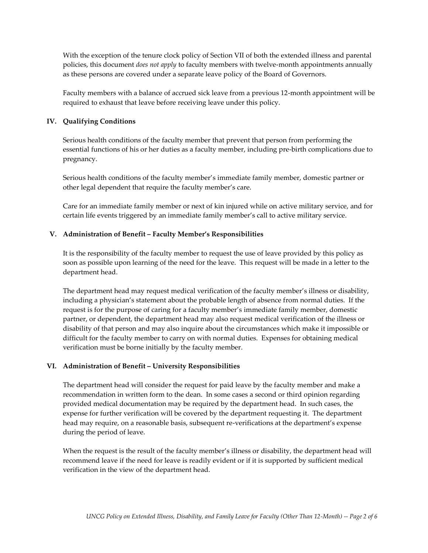With the exception of the tenure clock policy of Section VII of both the extended illness and parental policies, this document *does not apply* to faculty members with twelve-month appointments annually as these persons are covered under a separate leave policy of the Board of Governors.

Faculty members with a balance of accrued sick leave from a previous 12-month appointment will be required to exhaust that leave before receiving leave under this policy.

### **IV. Qualifying Conditions**

Serious health conditions of the faculty member that prevent that person from performing the essential functions of his or her duties as a faculty member, including pre-birth complications due to pregnancy.

Serious health conditions of the faculty member's immediate family member, domestic partner or other legal dependent that require the faculty member's care.

Care for an immediate family member or next of kin injured while on active military service, and for certain life events triggered by an immediate family member's call to active military service.

### **V. Administration of Benefit – Faculty Member's Responsibilities**

It is the responsibility of the faculty member to request the use of leave provided by this policy as soon as possible upon learning of the need for the leave. This request will be made in a letter to the department head.

The department head may request medical verification of the faculty member's illness or disability, including a physician's statement about the probable length of absence from normal duties. If the request is for the purpose of caring for a faculty member's immediate family member, domestic partner, or dependent, the department head may also request medical verification of the illness or disability of that person and may also inquire about the circumstances which make it impossible or difficult for the faculty member to carry on with normal duties. Expenses for obtaining medical verification must be borne initially by the faculty member.

#### **VI. Administration of Benefit – University Responsibilities**

The department head will consider the request for paid leave by the faculty member and make a recommendation in written form to the dean. In some cases a second or third opinion regarding provided medical documentation may be required by the department head. In such cases, the expense for further verification will be covered by the department requesting it. The department head may require, on a reasonable basis, subsequent re-verifications at the department's expense during the period of leave.

When the request is the result of the faculty member's illness or disability, the department head will recommend leave if the need for leave is readily evident or if it is supported by sufficient medical verification in the view of the department head.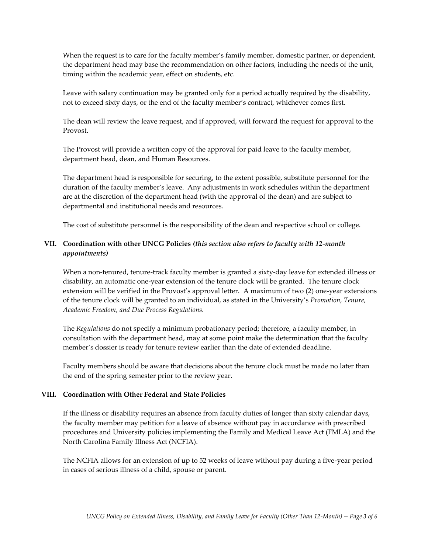When the request is to care for the faculty member's family member, domestic partner, or dependent, the department head may base the recommendation on other factors, including the needs of the unit, timing within the academic year, effect on students, etc.

Leave with salary continuation may be granted only for a period actually required by the disability, not to exceed sixty days, or the end of the faculty member's contract, whichever comes first.

The dean will review the leave request, and if approved, will forward the request for approval to the Provost.

The Provost will provide a written copy of the approval for paid leave to the faculty member, department head, dean, and Human Resources.

The department head is responsible for securing, to the extent possible, substitute personnel for the duration of the faculty member's leave. Any adjustments in work schedules within the department are at the discretion of the department head (with the approval of the dean) and are subject to departmental and institutional needs and resources.

The cost of substitute personnel is the responsibility of the dean and respective school or college.

# **VII. Coordination with other UNCG Policies** *(this section also refers to faculty with 12-month appointments)*

When a non-tenured, tenure-track faculty member is granted a sixty-day leave for extended illness or disability, an automatic one-year extension of the tenure clock will be granted. The tenure clock extension will be verified in the Provost's approval letter. A maximum of two (2) one-year extensions of the tenure clock will be granted to an individual, as stated in the University's *Promotion, Tenure, Academic Freedom, and Due Process Regulations.*

The *Regulations* do not specify a minimum probationary period; therefore, a faculty member, in consultation with the department head, may at some point make the determination that the faculty member's dossier is ready for tenure review earlier than the date of extended deadline.

Faculty members should be aware that decisions about the tenure clock must be made no later than the end of the spring semester prior to the review year.

#### **VIII. Coordination with Other Federal and State Policies**

If the illness or disability requires an absence from faculty duties of longer than sixty calendar days, the faculty member may petition for a leave of absence without pay in accordance with prescribed procedures and University policies implementing the Family and Medical Leave Act (FMLA) and the North Carolina Family Illness Act (NCFIA).

The NCFIA allows for an extension of up to 52 weeks of leave without pay during a five-year period in cases of serious illness of a child, spouse or parent.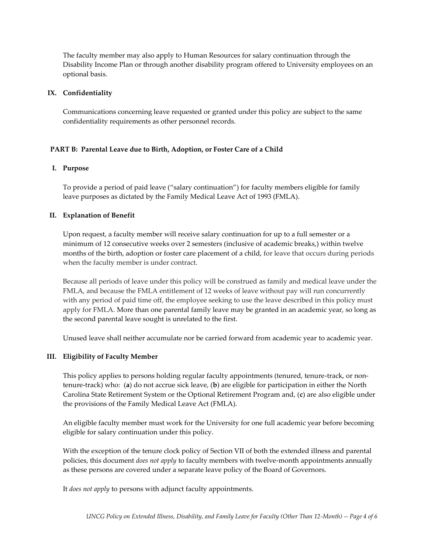The faculty member may also apply to Human Resources for salary continuation through the Disability Income Plan or through another disability program offered to University employees on an optional basis.

### **IX. Confidentiality**

Communications concerning leave requested or granted under this policy are subject to the same confidentiality requirements as other personnel records.

### **PART B: Parental Leave due to Birth, Adoption, or Foster Care of a Child**

### **I. Purpose**

To provide a period of paid leave ("salary continuation") for faculty members eligible for family leave purposes as dictated by the Family Medical Leave Act of 1993 (FMLA).

### **II. Explanation of Benefit**

Upon request, a faculty member will receive salary continuation for up to a full semester or a minimum of 12 consecutive weeks over 2 semesters (inclusive of academic breaks,) within twelve months of the birth, adoption or foster care placement of a child, for leave that occurs during periods when the faculty member is under contract.

Because all periods of leave under this policy will be construed as family and medical leave under the FMLA, and because the FMLA entitlement of 12 weeks of leave without pay will run concurrently with any period of paid time off, the employee seeking to use the leave described in this policy must apply for FMLA. More than one parental family leave may be granted in an academic year, so long as the second parental leave sought is unrelated to the first.

Unused leave shall neither accumulate nor be carried forward from academic year to academic year.

### **III. Eligibility of Faculty Member**

This policy applies to persons holding regular faculty appointments (tenured, tenure-track, or nontenure-track) who: (**a**) do not accrue sick leave, (**b**) are eligible for participation in either the North Carolina State Retirement System or the Optional Retirement Program and, (**c**) are also eligible under the provisions of the Family Medical Leave Act (FMLA).

An eligible faculty member must work for the University for one full academic year before becoming eligible for salary continuation under this policy.

With the exception of the tenure clock policy of Section VII of both the extended illness and parental policies, this document *does not apply* to faculty members with twelve-month appointments annually as these persons are covered under a separate leave policy of the Board of Governors.

It *does not apply* to persons with adjunct faculty appointments.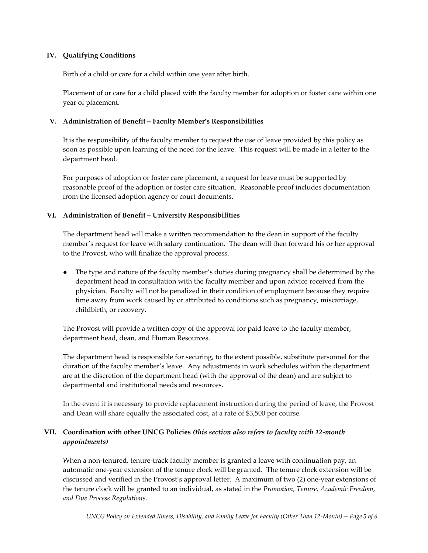### **IV. Qualifying Conditions**

Birth of a child or care for a child within one year after birth.

Placement of or care for a child placed with the faculty member for adoption or foster care within one year of placement.

### **V. Administration of Benefit – Faculty Member's Responsibilities**

It is the responsibility of the faculty member to request the use of leave provided by this policy as soon as possible upon learning of the need for the leave. This request will be made in a letter to the department head.

For purposes of adoption or foster care placement, a request for leave must be supported by reasonable proof of the adoption or foster care situation. Reasonable proof includes documentation from the licensed adoption agency or court documents.

### **VI. Administration of Benefit – University Responsibilities**

The department head will make a written recommendation to the dean in support of the faculty member's request for leave with salary continuation. The dean will then forward his or her approval to the Provost, who will finalize the approval process.

The type and nature of the faculty member's duties during pregnancy shall be determined by the department head in consultation with the faculty member and upon advice received from the physician. Faculty will not be penalized in their condition of employment because they require time away from work caused by or attributed to conditions such as pregnancy, miscarriage, childbirth, or recovery.

The Provost will provide a written copy of the approval for paid leave to the faculty member, department head, dean, and Human Resources.

The department head is responsible for securing, to the extent possible, substitute personnel for the duration of the faculty member's leave. Any adjustments in work schedules within the department are at the discretion of the department head (with the approval of the dean) and are subject to departmental and institutional needs and resources.

In the event it is necessary to provide replacement instruction during the period of leave, the Provost and Dean will share equally the associated cost, at a rate of \$3,500 per course.

## **VII. Coordination with other UNCG Policies** *(this section also refers to faculty with 12-month appointments)*

When a non-tenured, tenure-track faculty member is granted a leave with continuation pay, an automatic one-year extension of the tenure clock will be granted. The tenure clock extension will be discussed and verified in the Provost's approval letter. A maximum of two (2) one-year extensions of the tenure clock will be granted to an individual, as stated in the *Promotion, Tenure, Academic Freedom, and Due Process Regulations*.